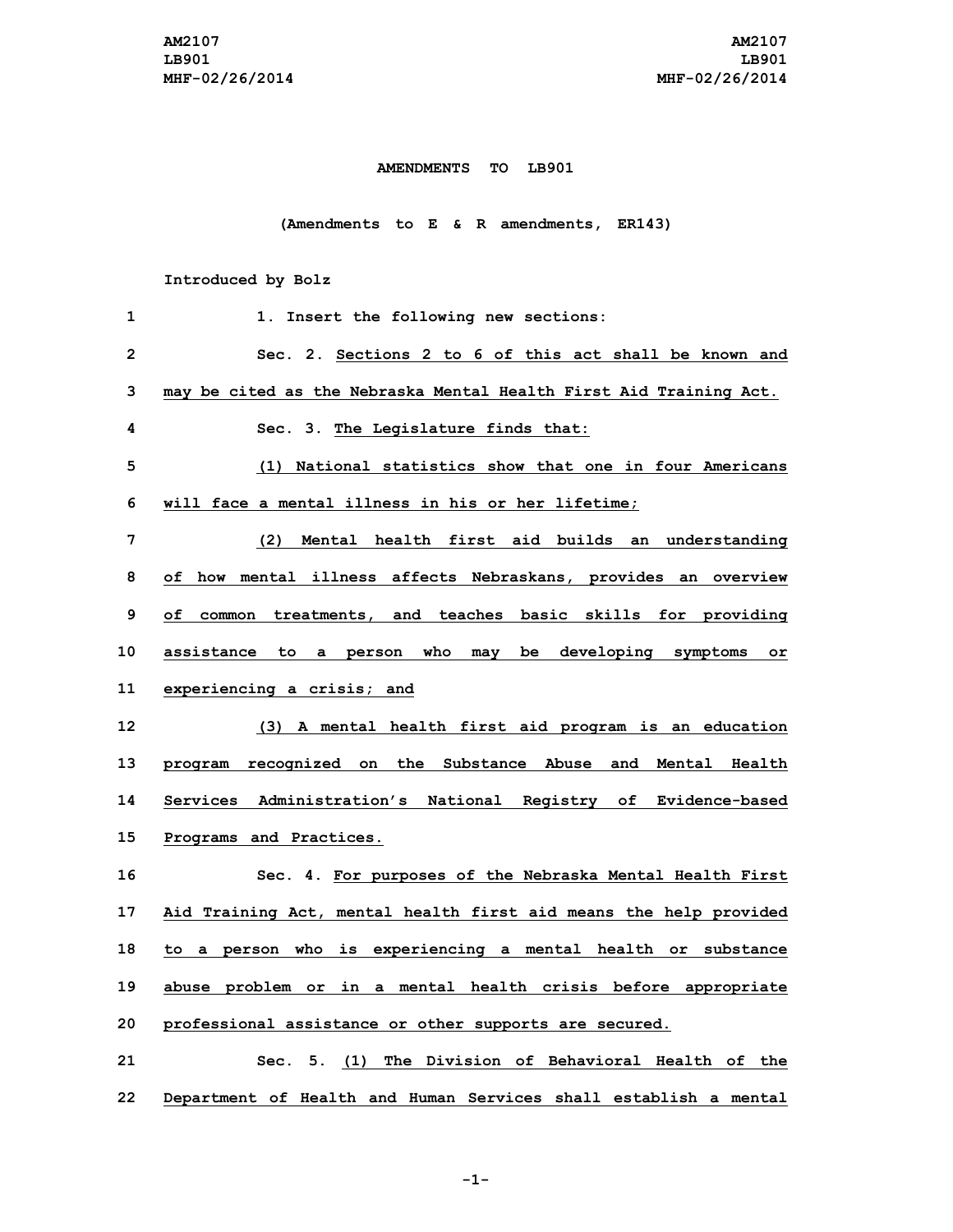## **AMENDMENTS TO LB901**

**(Amendments to E & R amendments, ER143)**

**Introduced by Bolz**

| 1  | 1. Insert the following new sections:                              |
|----|--------------------------------------------------------------------|
| 2  | Sec. 2. Sections 2 to 6 of this act shall be known and             |
| 3  | may be cited as the Nebraska Mental Health First Aid Training Act. |
| 4  | Sec. 3. The Legislature finds that:                                |
| 5  | National statistics show that one in four Americans<br>(1)         |
| 6  | will face a mental illness in his or her lifetime;                 |
| 7  | (2) Mental health first aid builds an understanding                |
| 8  | of how mental illness affects Nebraskans, provides an overview     |
| 9  | of common treatments, and teaches basic skills for providing       |
| 10 | assistance to a person who may be developing symptoms or           |
| 11 | experiencing a crisis; and                                         |
| 12 | (3) A mental health first aid program is an education              |
| 13 | program recognized on the Substance Abuse and Mental Health        |
| 14 | Services Administration's National Registry of Evidence-based      |
| 15 | Programs and Practices.                                            |
| 16 | Sec. 4. For purposes of the Nebraska Mental Health First           |
| 17 | Aid Training Act, mental health first aid means the help provided  |
| 18 | to a person who is experiencing a mental health or substance       |
| 19 | abuse problem or in a mental health crisis before appropriate      |
| 20 | professional assistance or other supports are secured.             |
| 21 | Sec. 5. (1) The Division of Behavioral Health of the               |
| 22 | Department of Health and Human Services shall establish a mental   |

**-1-**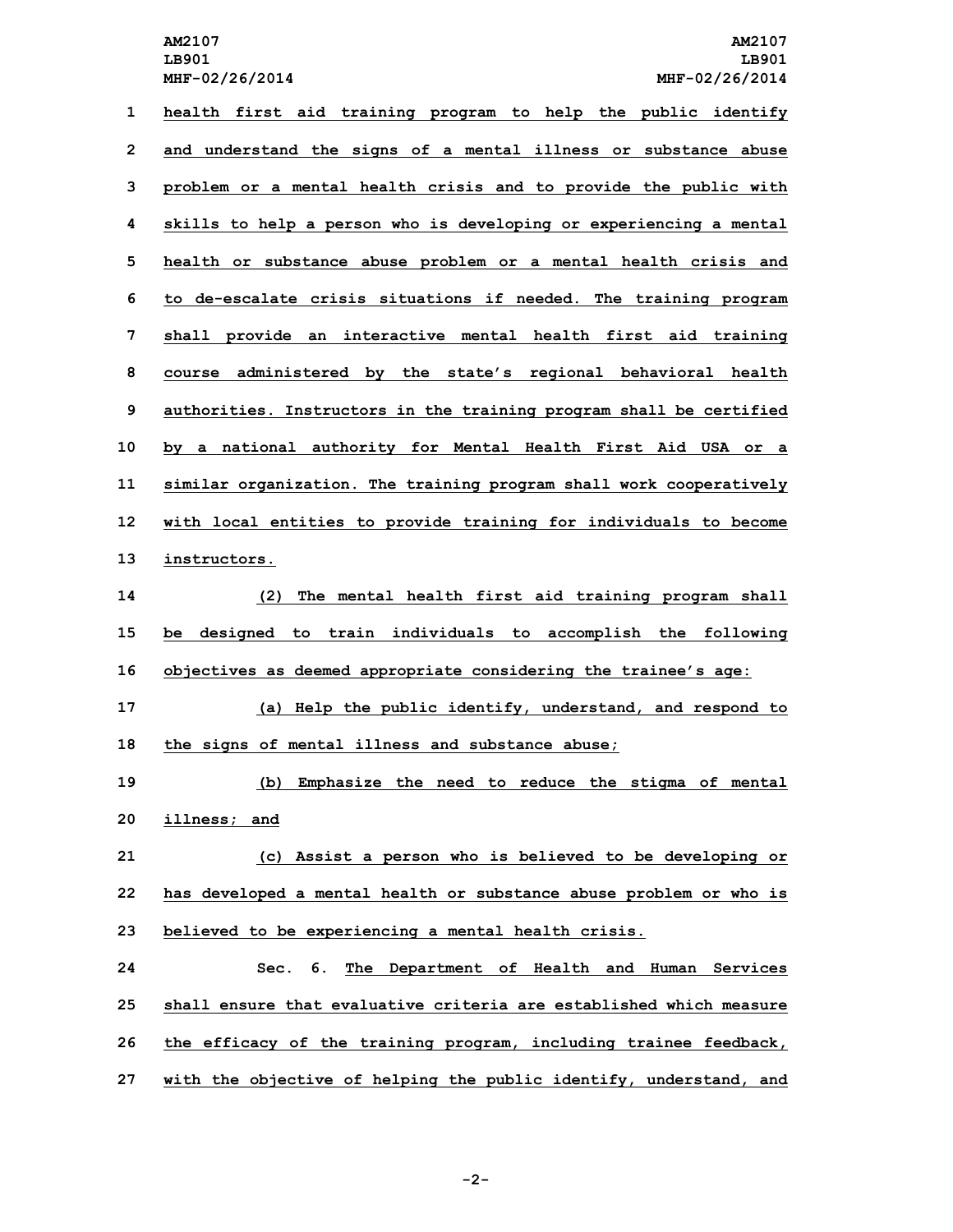**health first aid training program to help the public identify and understand the signs of <sup>a</sup> mental illness or substance abuse problem or <sup>a</sup> mental health crisis and to provide the public with skills to help <sup>a</sup> person who is developing or experiencing <sup>a</sup> mental health or substance abuse problem or <sup>a</sup> mental health crisis and to de-escalate crisis situations if needed. The training program shall provide an interactive mental health first aid training course administered by the state's regional behavioral health authorities. Instructors in the training program shall be certified by <sup>a</sup> national authority for Mental Health First Aid USA or <sup>a</sup> similar organization. The training program shall work cooperatively with local entities to provide training for individuals to become instructors. (2) The mental health first aid training program shall be designed to train individuals to accomplish the following objectives as deemed appropriate considering the trainee's age: (a) Help the public identify, understand, and respond to the signs of mental illness and substance abuse; (b) Emphasize the need to reduce the stigma of mental illness; and (c) Assist <sup>a</sup> person who is believed to be developing or has developed <sup>a</sup> mental health or substance abuse problem or who is believed to be experiencing <sup>a</sup> mental health crisis. Sec. 6. The Department of Health and Human Services shall ensure that evaluative criteria are established which measure the efficacy of the training program, including trainee feedback,**

**27 with the objective of helping the public identify, understand, and**

**-2-**